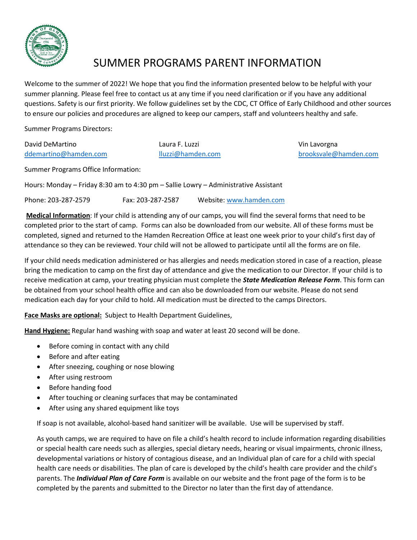

## SUMMER PROGRAMS PARENT INFORMATION

Welcome to the summer of 2022! We hope that you find the information presented below to be helpful with your summer planning. Please feel free to contact us at any time if you need clarification or if you have any additional questions. Safety is our first priority. We follow guidelines set by the CDC, CT Office of Early Childhood and other sources to ensure our policies and procedures are aligned to keep our campers, staff and volunteers healthy and safe.

Summer Programs Directors:

| David DeMartino       |  |
|-----------------------|--|
| ddemartino@hamden.com |  |

Laura F. Luzzi **Vin Lavorgna** 

[ddemartino@hamden.com](mailto:ddemartino@hamden.com) [lluzzi@hamden.com](mailto:lluzzi@hamden.com) [brooksvale@hamden.com](mailto:brooksvale@hamden.com)

Summer Programs Office Information:

Hours: Monday – Friday 8:30 am to 4:30 pm – Sallie Lowry – Administrative Assistant

Phone: 203-287-2579 Fax: 203-287-2587 Website: [www.hamden.com](http://www.hamden.com/)

**Medical Information**: If your child is attending any of our camps, you will find the several forms that need to be completed prior to the start of camp. Forms can also be downloaded from our website. All of these forms must be completed, signed and returned to the Hamden Recreation Office at least one week prior to your child's first day of attendance so they can be reviewed. Your child will not be allowed to participate until all the forms are on file.

If your child needs medication administered or has allergies and needs medication stored in case of a reaction, please bring the medication to camp on the first day of attendance and give the medication to our Director. If your child is to receive medication at camp, your treating physician must complete the *State Medication Release Form*. This form can be obtained from your school health office and can also be downloaded from our website. Please do not send medication each day for your child to hold. All medication must be directed to the camps Directors.

**Face Masks are optional:** Subject to Health Department Guidelines,

**Hand Hygiene:** Regular hand washing with soap and water at least 20 second will be done.

- Before coming in contact with any child
- Before and after eating
- After sneezing, coughing or nose blowing
- After using restroom
- Before handing food
- After touching or cleaning surfaces that may be contaminated
- After using any shared equipment like toys

If soap is not available, alcohol-based hand sanitizer will be available. Use will be supervised by staff.

As youth camps, we are required to have on file a child's health record to include information regarding disabilities or special health care needs such as allergies, special dietary needs, hearing or visual impairments, chronic illness, developmental variations or history of contagious disease, and an Individual plan of care for a child with special health care needs or disabilities. The plan of care is developed by the child's health care provider and the child's parents. The *Individual Plan of Care Form* is available on our website and the front page of the form is to be completed by the parents and submitted to the Director no later than the first day of attendance.